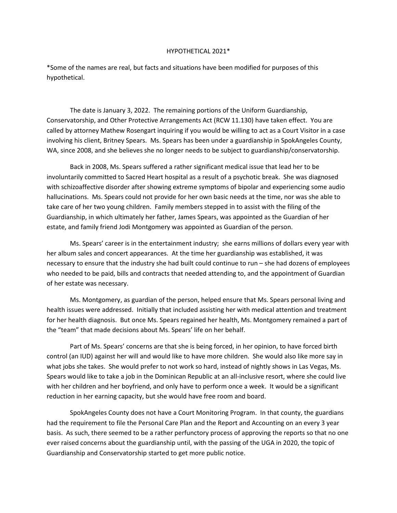## HYPOTHETICAL 2021\*

\*Some of the names are real, but facts and situations have been modified for purposes of this hypothetical.

The date is January 3, 2022. The remaining portions of the Uniform Guardianship, Conservatorship, and Other Protective Arrangements Act (RCW 11.130) have taken effect. You are called by attorney Mathew Rosengart inquiring if you would be willing to act as a Court Visitor in a case involving his client, Britney Spears. Ms. Spears has been under a guardianship in SpokAngeles County, WA, since 2008, and she believes she no longer needs to be subject to guardianship/conservatorship.

Back in 2008, Ms. Spears suffered a rather significant medical issue that lead her to be involuntarily committed to Sacred Heart hospital as a result of a psychotic break. She was diagnosed with schizoaffective disorder after showing extreme symptoms of bipolar and experiencing some audio hallucinations. Ms. Spears could not provide for her own basic needs at the time, nor was she able to take care of her two young children. Family members stepped in to assist with the filing of the Guardianship, in which ultimately her father, James Spears, was appointed as the Guardian of her estate, and family friend Jodi Montgomery was appointed as Guardian of the person.

Ms. Spears' career is in the entertainment industry; she earns millions of dollars every year with her album sales and concert appearances. At the time her guardianship was established, it was necessary to ensure that the industry she had built could continue to run – she had dozens of employees who needed to be paid, bills and contracts that needed attending to, and the appointment of Guardian of her estate was necessary.

Ms. Montgomery, as guardian of the person, helped ensure that Ms. Spears personal living and health issues were addressed. Initially that included assisting her with medical attention and treatment for her health diagnosis. But once Ms. Spears regained her health, Ms. Montgomery remained a part of the "team" that made decisions about Ms. Spears' life on her behalf.

Part of Ms. Spears' concerns are that she is being forced, in her opinion, to have forced birth control (an IUD) against her will and would like to have more children. She would also like more say in what jobs she takes. She would prefer to not work so hard, instead of nightly shows in Las Vegas, Ms. Spears would like to take a job in the Dominican Republic at an all-inclusive resort, where she could live with her children and her boyfriend, and only have to perform once a week. It would be a significant reduction in her earning capacity, but she would have free room and board.

SpokAngeles County does not have a Court Monitoring Program. In that county, the guardians had the requirement to file the Personal Care Plan and the Report and Accounting on an every 3 year basis. As such, there seemed to be a rather perfunctory process of approving the reports so that no one ever raised concerns about the guardianship until, with the passing of the UGA in 2020, the topic of Guardianship and Conservatorship started to get more public notice.